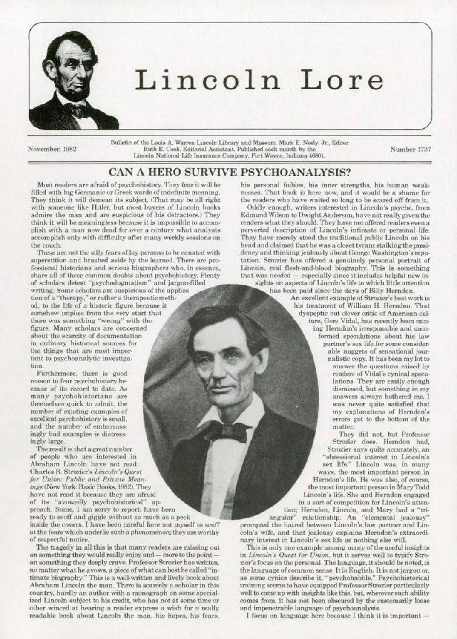

## **Lincoln Lore**

November, 1982

Bulletin of the Louis A. Warren Lincoln Library and Museum. Mark E. Neely, Jr., Editor Ruth E. Cook, Editorial Assistant. Published each month by the Number 1737 Lincoln National Life Insurance Company, Fort Wayne, Indiana 46801.

## CAN A HERO SURVIVE PSYCHOANALYSIS?

Most readers are afraid of psychohistory. They fear it will be filled with big Germanic or Greek words of indefinite meaning. They think it will demean its subject. (That may be all right with someone like Hitler, but most buyers of Lincoln books admire the man and are suspicious of his detractors.) They think it will be meaningless because it is impossible to accomplish with a man now dead for over a century what analysts accomplish only with difficulty after many weekly sessions on the couch.

These are not the silly fears of lay-persons to be equated with superstition and brushed aside by the learned. There are professional historians and serious biographers who, in essence, share all of these common doubts about psychohistory. Plenty of scholars detest "psychodogmatism" and jargon-filled writing. Some scholars are suspicious of the applica· tion of a "therapy." or rather a therapeutic meth· od. *to* the life of a historic figure because it somehow implies from the very start that there was something "wrong'" with the figure. Many scholars arc concerned about the scarcity of documentation in ordinary historical sources for the things that are most impor-

tant to psychoanalytic investigation. Furthermore. there is good reason *to* fear psychohistory be-

cause of its record to date. As many psychohistorians are themselves quick to admit, the number of existing examples of excellent psychohistory is small, and the number of embarrass· ingly bad examples is distressingly large.

The result is that a great number of people who are interested in Abraham Lincoln have not read Charles B. Strozier's *Lincoln's Quest* for Union: Public and Private Meanings (New York: Basic Books, 1982). They have not read it because they are afraid of its "avowedly psychohistoricaJ" approach. Some. I am sorry to report. have been ready to scoff and giggle without so much as a peek inside the covers. I have been careful here not myself to scoff

at the fears which underlie such a phenomenon: they are worthy of respectful notice.

The tragedy in all this is that many readers are missing out on something they would really enjoy and - more to the pointon something they deeply crave. Professor Strozier has written, no matter what he avows, a piece of what can best be called "intim ate biography." This is a well-written and lively book about. Abraham Lincoln the man. There is scarcely a scholar in this country. hardly an author with a monograph on some special· ized Lincoln subject to his credit, who has not at some time or other winced at hearing a reader express a wish for a really readable book about Lincoln the man, his hopes, his fears,

his personal foibles, his inner strengths, his human weaknesses. That book is here now. and it would be a shame for the readers who have waited so long to be scared off from it..

Oddly enough, writers interested in Lincoln's psyche, from Edmund Wilson to Dwight Anderson, have not really given the readers what they should. They have not offered readers even a perverted description of Lincoln's intimate or personal life. They have merely stood the traditional public Lincoln on his head and claimed that he was a closet tyrant stalking the presidency and thinking jealously about George Washington"s repu· tation. Strozier has offered a genuinely personal portrait of Lincoln, real flesh-and-blood biography. This is something that was needed  $-$  especially since it includes helpful new insights on aspects of Lincoln's life to which little attention has been paid since the days of Billy Herndon.

An excellent example of Strozier's best work is his treatment of William H. Herndon. That dyspeptic but clever critic of American cul· ture, Gore Vidal, has recently been mining Herndon's irresponsible and unin· formed speculations about his law partner's sex life for some considerable nuggets of sensational jouranswer the questions raised by readers of Vidal's cynical speculations. They are easily enough dismissed. but something in my answers always bothered me. [ was never quite satisfied that my explanations of Herndon's errors got to the bottom of the matter.

They did not, but Professor Strozier does. Herndon had, Strozier says quite accurately, an<br>"obsessional interest in Lincoln's sex life." Lincoln was, in many ways. the most important person io Herndon's life. He was also. of course, the most important person in Mary Todd Lincoln's life. She and Herndon engaged in a sort of competition for Lincoln's atten· tion; Herndon, Lincoln, and Mary had a "tri-<br>angular" relationship. An "elemental jealousy"

relationship. An "elemental jealousy" prompted the hatred between Lincoln's law partner and Lincoin's wife. and that jealousy explains Herndon's extraordinary interest in Lincoln's sex life as nothing else will.

This is only one example among many of the useful insights in Lincoln's Quest for Union, but it serves well to typify Strozier's focus on the personal. The language, it should be noted, is the language of common sense. It is English. It is not jargon or, as some eynies describe it, " psychobabble." Psychohistorical training seems to have equipped Professor Strozier particularly well to come up with insights like this, but, wherever such ability comes from, it has not been obscured by the customarily loose and impenetrable language of psychoanalysis.

I focus on language here because I think it is important -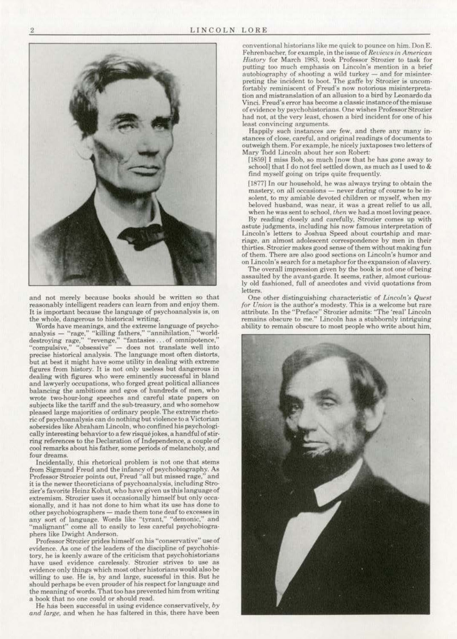

and not merely because books should be written so that reasonably intelligent readers can learn from and enjoy them. It is important because the language of psychoanalysis is, on<br>the whole, dangerous to historical writing.

Words have meanings, and the extreme language of psychoanalysis — "rage," "killing fathers," "annihilation." "world-<br>destroying rage," "revenge," "fantasies ... of omnipotence," "compulsive," "obsessive" - does not translate well into precise historical analysis. The language most often distorts, but at best it might have some utility in dealing with extreme figures from history. It is not only useless but dangerous in dealing with figures who were eminently successful in bland and lawyerly occupations, who forged great political alliances balancing the ambitions and egos of hundreds of men, who wrote two-hour-long speeches and careful state papers on subjects like the tariff and the sub-treasury, and who somehow pleased large majorities of ordinary people. The extreme rhetoric of psychoanalysis can do nothing but violence to a Victorian sobersides like Abraham Lincoln, who confined his psychologically interesting behavior to a few risqué jokes, a handful of stirring references to the Declaration of Independence. a ooupleof cool remarks about his father, some periods of melancholy, and four dreams.

Incidentally. this rhetorical problem is not one that stems from Sigmund Freud and the infancy of psychobiography. As<br>Professor Strozier points out Freud "all but missed rage." and Professor Strozier points out, Freud "all but missed rage," it is the newer theoreticians of psychoanalysis, including Strozier's favorite Heinz Kohut, who have given us this language of extremism. Strozier uses it occasionally himself but only occa· sionally, and it has not done to him what its use has done to other psychobiographers - made them tone deaf to excesses in any sort of language. Words like "tyrant," "demonic," and "malignant" come all to easily to less careful psychobiogra-

phers like Dwight Anderson.<br>Professor Strozier prides himself on his "conservative" use of evidence. As one of the leaders of the discipline of psychohis· tory, he is keenly aware of the criticism that psychohistorians have used evidence carelessly. Strozier strives to use as evidence only things which most other historians would also be willing to use. He is, by and large, sucessful in this. But he should perhaps be even prouder of his respect for language and the meaning of words. That too has prevented him from writing a book that no one could or should read.

He has been successful in using evidence conservatively. *by* and large, and when he has faltered in this, there have been conventional historians like me quick to pounce on him. Don E. Fehrenbacher, for example, in the issue of *Reviews in American History* for March 1983, took Professor Strozier to task for putting too much emphasis on Lincoln's mention in a brief autobiography of shooting a wild turkey  $-$  and for misinter-<br>preting the incident to boot. The gaffe by Strozier is uncomfortably reminiscent of Freud's now notorious misinterpretation and mistranslation of an allusion to a bird by Leonardo da Vinci. Freud's error has become a classic instance of the misuse of evidence by psychohistorians. One wishes Professor Strozier had not, at the very least, chosen a bird incident for one of his least convincing arguments.

Happily such instances are few, and there any many instances of close. careful, and original readings of documents to outweigh them. For example, he nicely juxtaposes two letters of Mary Todd Lincoln about her son Robert:

[1859] I miss Bob, so much [now that he has gone away to schooll that I do not feel settled down, as much as I used to & find myself going on trips quite frequently.

[1877] In our household, he was always trying to obtain the mastery, on all occasions- never daring of course *to* be in· solent, *to* my amiable devoted children or myself. when my beloved husband, was near. it was a great relief *to* us all. when he was sent to school. *then* we had.a most loving peace.

By reading closely and carefully, Strozier comes up with astute judgments. including his now famous interpretation of Lincoln's letters to Joshua Speed about oourtship and marriage, an almost adolescent correspondence by men in their thirties. Strozier makes good sense of them without making fun of them. There are also good sections on Lincoln's humor and on Lincoln's search for a metaphor for the expansion of slavery.

The overall impression given by the book is not one of being assaulted by the avant-garde. It seems, rather, almost curiously old fashioned, full of anecdotes and vivid quotations from letters

One other distinguishing characteristic of *Lincoln's Quest* for Union is the author's modesty. This is a welcome but rare attribute. In the "Preface" Strozier admits: "The 'real' Lincoln remains obscure to me." Lincoln has a stubbornly intriguing ability to remain obscure to most people who write about him.

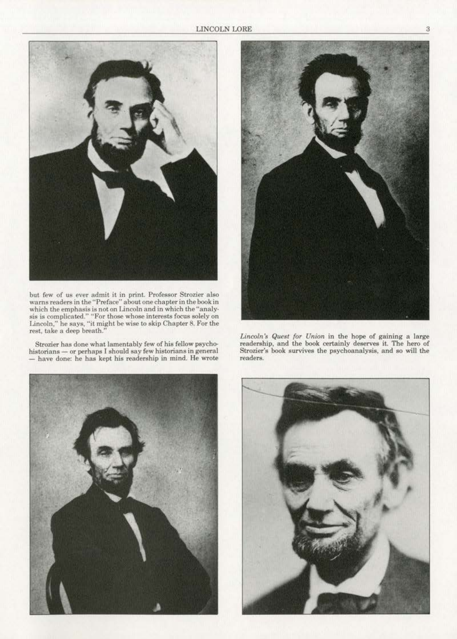

but rew of us ever admit it in prinL Professor Strozier aJso warns readers in the "Preface" about one chapter in the book in which the emphasis is not on Lincoln and in which the "analy-<br>sis is complicated." "For those whose interests focus solely on Lincoln," he says, "it might be wise to skip Chapter 8. For the rest, take a deep breath."

Strozier has done what lamentably few of his fellow psycho-<br>historians — or perhaps I should say few historians in general - have done: he has kept his readership in mind. He wrote





*lincoln S Quest {or Union* in the hope of gaining a large readership, and the book certainly deserves it, The hero of Strozier's book survives the psychoanalysis, and so will the readers.